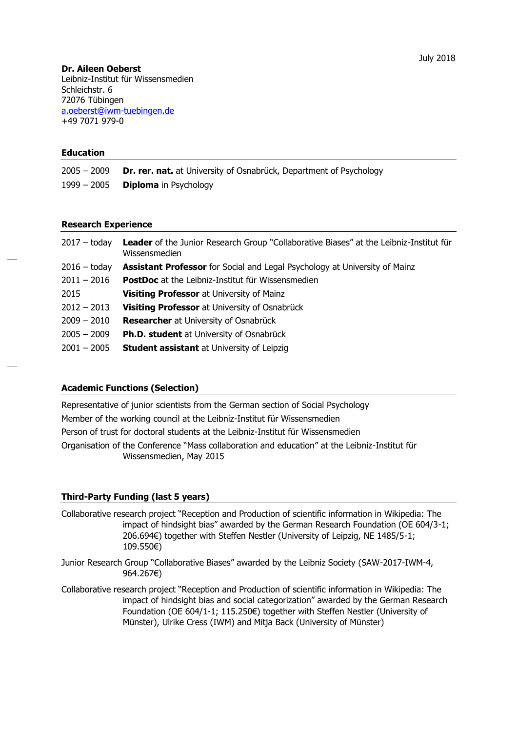# **Dr. Aileen Oeberst**

Leibniz-Institut für Wissensmedien Schleichstr. 6 72076 Tübingen [a.oeberst@iwm-tuebingen.de](mailto:a.oeberst@iwm-tuebingen.de) +49 7071 979-0

### **Education**

| 2005 — 2009 | <b>Dr. rer. nat.</b> at University of Osnabrück, Department of Psychology |
|-------------|---------------------------------------------------------------------------|
| 1999 - 2005 | <b>Diploma</b> in Psychology                                              |

# **Research Experience**

| $2017 -$ today | Leader of the Junior Research Group "Collaborative Biases" at the Leibniz-Institut für<br>Wissensmedien |
|----------------|---------------------------------------------------------------------------------------------------------|
| $2016 -$ today | <b>Assistant Professor</b> for Social and Legal Psychology at University of Mainz                       |
| $2011 - 2016$  | <b>PostDoc</b> at the Leibniz-Institut für Wissensmedien                                                |
| 2015           | <b>Visiting Professor at University of Mainz</b>                                                        |
| $2012 - 2013$  | <b>Visiting Professor</b> at University of Osnabrück                                                    |
| $2009 - 2010$  | <b>Researcher</b> at University of Osnabrück                                                            |
| $2005 - 2009$  | Ph.D. student at University of Osnabrück                                                                |
| $2001 - 2005$  | <b>Student assistant</b> at University of Leipzig                                                       |

# **Academic Functions (Selection)**

Representative of junior scientists from the German section of Social Psychology Member of the working council at the Leibniz-Institut für Wissensmedien Person of trust for doctoral students at the Leibniz-Institut für Wissensmedien Organisation of the Conference "Mass collaboration and education" at the Leibniz-Institut für Wissensmedien, May 2015

# **Third-Party Funding (last 5 years)**

- Collaborative research project "Reception and Production of scientific information in Wikipedia: The impact of hindsight bias" awarded by the German Research Foundation (OE 604/3-1; 206.694€) together with Steffen Nestler (University of Leipzig, NE 1485/5-1; 109.550€)
- Junior Research Group "Collaborative Biases" awarded by the Leibniz Society (SAW-2017-IWM-4, 964.267€)
- Collaborative research project "Reception and Production of scientific information in Wikipedia: The impact of hindsight bias and social categorization" awarded by the German Research Foundation (OE 604/1-1; 115.250€) together with Steffen Nestler (University of Münster), Ulrike Cress (IWM) and Mitja Back (University of Münster)